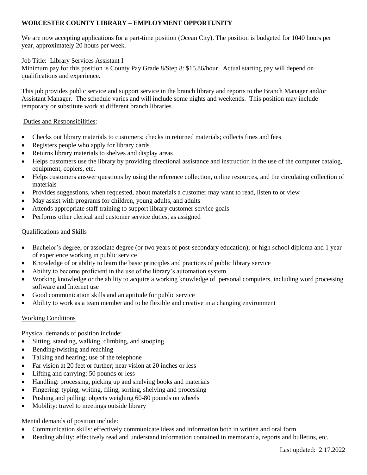# **WORCESTER COUNTY LIBRARY – EMPLOYMENT OPPORTUNITY**

We are now accepting applications for a part-time position (Ocean City). The position is budgeted for 1040 hours per year, approximately 20 hours per week.

## Job Title: Library Services Assistant I

Minimum pay for this position is County Pay Grade 8/Step 8: \$15.86/hour. Actual starting pay will depend on qualifications and experience.

This job provides public service and support service in the branch library and reports to the Branch Manager and/or Assistant Manager. The schedule varies and will include some nights and weekends. This position may include temporary or substitute work at different branch libraries.

## Duties and Responsibilities:

- Checks out library materials to customers; checks in returned materials; collects fines and fees
- Registers people who apply for library cards
- Returns library materials to shelves and display areas
- Helps customers use the library by providing directional assistance and instruction in the use of the computer catalog, equipment, copiers, etc.
- Helps customers answer questions by using the reference collection, online resources, and the circulating collection of materials
- Provides suggestions, when requested, about materials a customer may want to read, listen to or view
- May assist with programs for children, young adults, and adults
- Attends appropriate staff training to support library customer service goals
- Performs other clerical and customer service duties, as assigned

## Qualifications and Skills

- Bachelor's degree, or associate degree (or two years of post-secondary education); or high school diploma and 1 year of experience working in public service
- Knowledge of or ability to learn the basic principles and practices of public library service
- Ability to become proficient in the use of the library's automation system
- Working knowledge or the ability to acquire a working knowledge of personal computers, including word processing software and Internet use
- Good communication skills and an aptitude for public service
- Ability to work as a team member and to be flexible and creative in a changing environment

## Working Conditions

Physical demands of position include:

- Sitting, standing, walking, climbing, and stooping
- Bending/twisting and reaching
- Talking and hearing; use of the telephone
- Far vision at 20 feet or further; near vision at 20 inches or less
- Lifting and carrying: 50 pounds or less
- Handling: processing, picking up and shelving books and materials
- Fingering: typing, writing, filing, sorting, shelving and processing
- Pushing and pulling: objects weighing 60-80 pounds on wheels
- Mobility: travel to meetings outside library

## Mental demands of position include:

- Communication skills: effectively communicate ideas and information both in written and oral form
- Reading ability: effectively read and understand information contained in memoranda, reports and bulletins, etc.